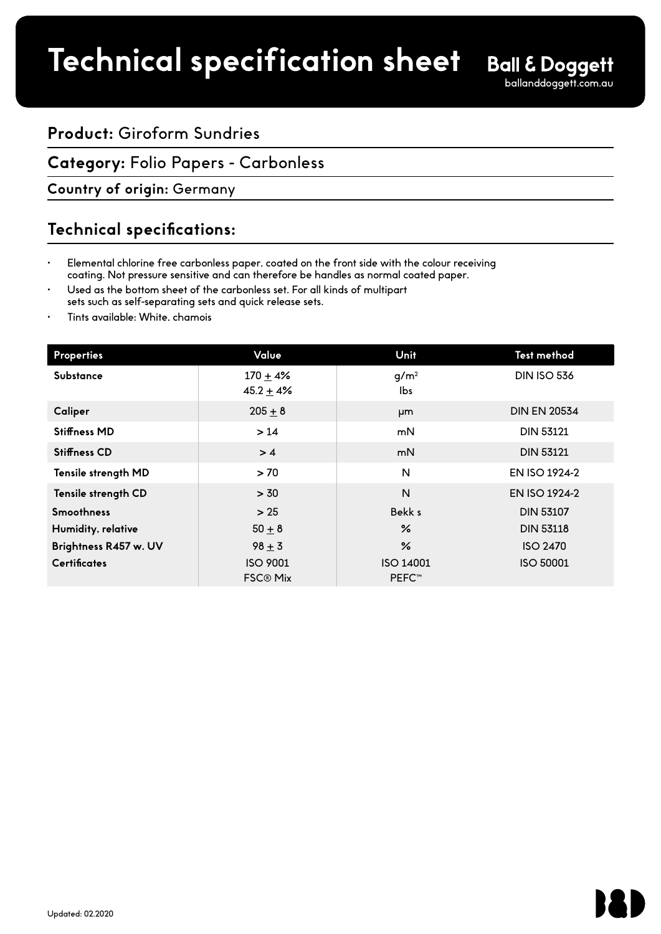# **Product:** Giroform Sundries

# **Category:** Folio Papers - Carbonless

**Country of origin:** Germany

# **Technical specifications:**

- Elemental chlorine free carbonless paper, coated on the front side with the colour receiving coating. Not pressure sensitive and can therefore be handles as normal coated paper.
- Used as the bottom sheet of the carbonless set. For all kinds of multipart sets such as self-separating sets and quick release sets.
- Tints available: White, chamois

| <b>Properties</b>     | Value                              | Unit                      | Test method          |
|-----------------------|------------------------------------|---------------------------|----------------------|
| <b>Substance</b>      | $170 + 4%$<br>$45.2 + 4%$          | q/m <sup>2</sup><br>lbs   | <b>DIN ISO 536</b>   |
| Caliper               | $205 + 8$                          | μm                        | <b>DIN EN 20534</b>  |
| <b>Stiffness MD</b>   | $>14$                              | mN                        | <b>DIN 53121</b>     |
| <b>Stiffness CD</b>   | >4                                 | mN                        | <b>DIN 53121</b>     |
| Tensile strength MD   | >70                                | N                         | EN ISO 1924-2        |
| Tensile strength CD   | > 30                               | N                         | <b>EN ISO 1924-2</b> |
| <b>Smoothness</b>     | > 25                               | Bekk s                    | <b>DIN 53107</b>     |
| Humidity, relative    | $50 \pm 8$                         | ℅                         | <b>DIN 53118</b>     |
| Brightness R457 w. UV | $98 + 3$                           | ℅                         | <b>ISO 2470</b>      |
| <b>Certificates</b>   | <b>ISO 9001</b><br><b>FSC® Mix</b> | ISO 14001<br><b>PEFC™</b> | <b>ISO 50001</b>     |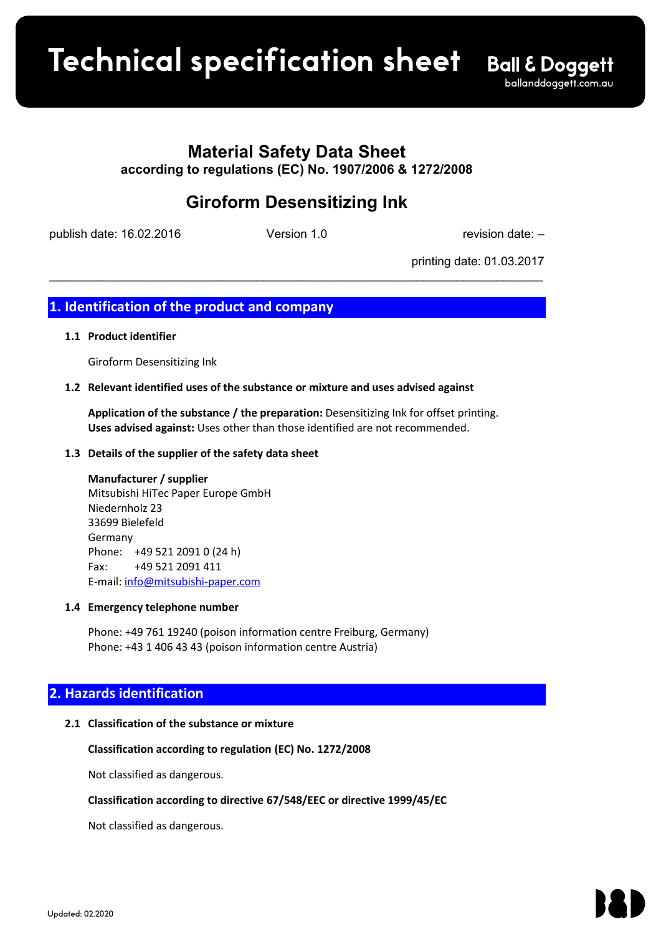**Product spec sheet Technical specification sheet**

# **Material Safety Data Sheet**

**according to regulations (EC) No. 1907/2006 & 1272/2008**

# **Giroform Desensitizing Ink**

publish date: 16.02.2016 Version 1.0 version 2.0 revision date: -

\_\_\_\_\_\_\_\_\_\_\_\_\_\_\_\_\_\_\_\_\_\_\_\_\_\_\_\_\_\_\_\_\_\_\_\_\_\_\_\_\_\_\_\_\_\_\_\_\_\_\_\_\_\_\_\_\_\_\_\_\_\_\_\_\_\_\_\_\_\_\_\_\_\_

printing date: 01.03.2017

# **1. Identification of the product and company**

# **1.1 Product identifier**

Giroform Desensitizing Ink

# **1.2 Relevant identified uses of the substance or mixture and uses advised against**

**Application of the substance / the preparation:** Desensitizing Ink for offset printing. **Uses advised against:** Uses other than those identified are not recommended.

# **1.3 Details of the supplier of the safety data sheet**

**Manufacturer / supplier** Mitsubishi HiTec Paper Europe GmbH Niedernholz 23 33699 Bielefeld Germany Phone: +49 521 2091 0 (24 h) Fax: +49 521 2091 411 E-mail: info@mitsubishi-paper.com

# **1.4 Emergency telephone number**

Phone: +49 761 19240 (poison information centre Freiburg, Germany) Phone: +43 1 406 43 43 (poison information centre Austria)

# **2. Hazards identification**

# **2.1 Classification of the substance or mixture**

**Classification according to regulation (EC) No. 1272/2008**

Not classified as dangerous.

# **Classification according to directive 67/548/EEC or directive 1999/45/EC**

Not classified as dangerous.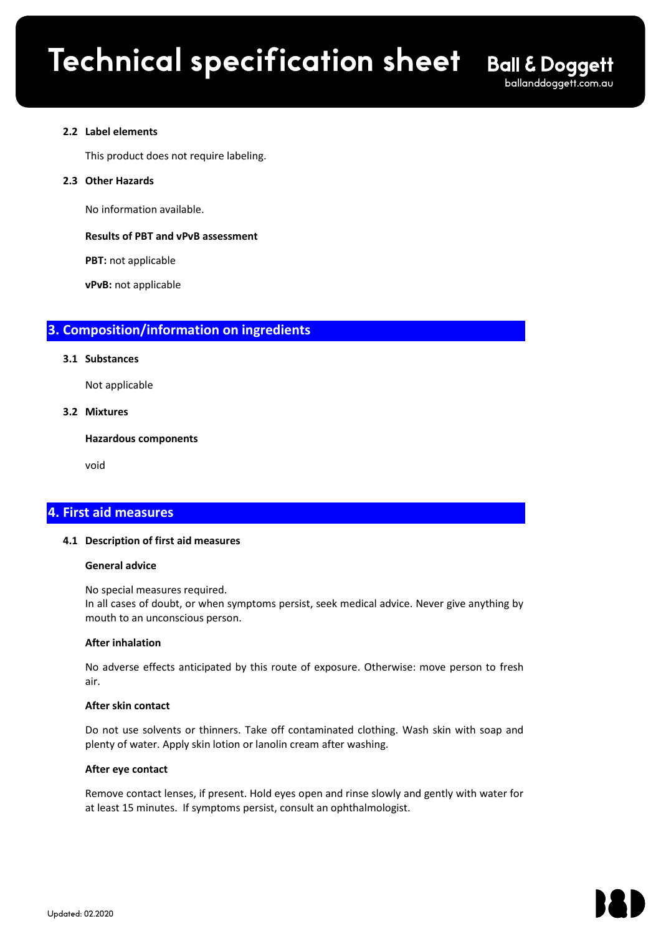$\mathcal{L}_\mathcal{L} = \mathcal{L}_\mathcal{L} - \mathcal{L}_\mathcal{L}$ 

#### **2.2 Label elements**

This product does not require labeling.

#### **2.3 Other Hazards**

No information available.

# **Results of PBT and vPvB assessment**

**PBT:** not applicable

**vPvB:** not applicable

# **3. Composition/information on ingredients**

#### **3.1 Substances**

Not applicable

# **3.2 Mixtures**

**Hazardous components**

void

# **4. First aid measures**

# **4.1 Description of first aid measures**

#### **General advice**

No special measures required. In all cases of doubt, or when symptoms persist, seek medical advice. Never give anything by mouth to an unconscious person.

# **After inhalation**

No adverse effects anticipated by this route of exposure. Otherwise: move person to fresh air.

#### **After skin contact**

Do not use solvents or thinners. Take off contaminated clothing. Wash skin with soap and plenty of water. Apply skin lotion or lanolin cream after washing.

#### **After eye contact**

Remove contact lenses, if present. Hold eyes open and rinse slowly and gently with water for at least 15 minutes. If symptoms persist, consult an ophthalmologist.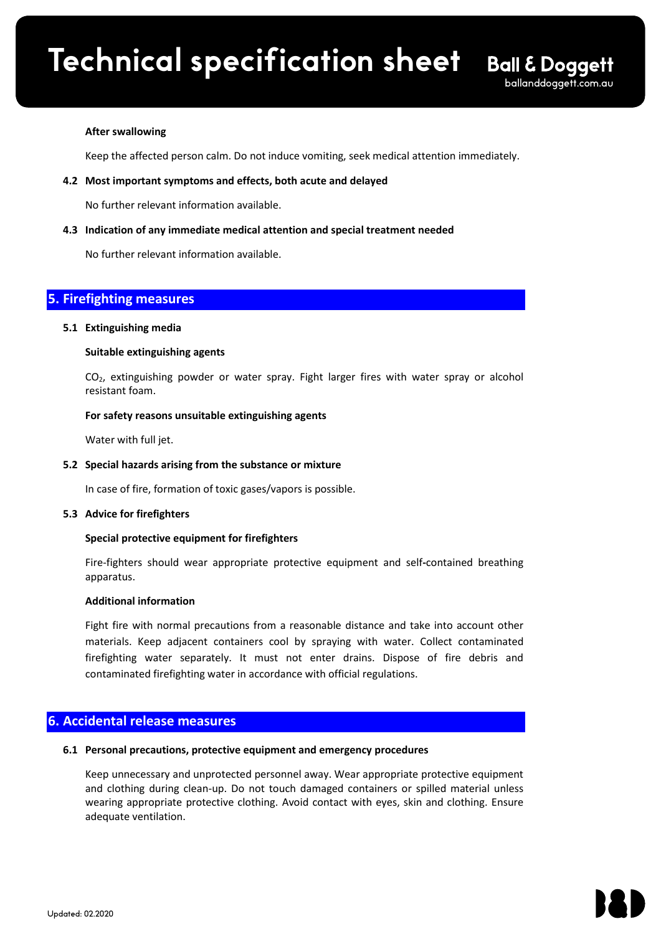# **Technical specification sheet** Ball Material Safety Data Sheet according to regulations (EC) No. 1907/2006 & 1272/2008

# **After swallowing**

Keep the affected person calm. Do not induce vomiting, seek medical attention immediately.

 $\mathcal{L}_\mathcal{L} = \mathcal{L}_\mathcal{L} - \mathcal{L}_\mathcal{L}$ 

# **4.2 Most important symptoms and effects, both acute and delayed**

No further relevant information available.

#### **4.3 Indication of any immediate medical attention and special treatment needed**

No further relevant information available.

# **5. Firefighting measures**

#### **5.1 Extinguishing media**

#### **Suitable extinguishing agents**

CO<sub>2</sub>, extinguishing powder or water spray. Fight larger fires with water spray or alcohol resistant foam.

#### **For safety reasons unsuitable extinguishing agents**

Water with full jet.

#### **5.2 Special hazards arising from the substance or mixture**

In case of fire, formation of toxic gases/vapors is possible.

#### **5.3 Advice for firefighters**

# **Special protective equipment for firefighters**

Fire-fighters should wear appropriate protective equipment and self**-**contained breathing apparatus.

#### **Additional information**

Fight fire with normal precautions from a reasonable distance and take into account other materials. Keep adjacent containers cool by spraying with water. Collect contaminated firefighting water separately. It must not enter drains. Dispose of fire debris and contaminated firefighting water in accordance with official regulations.

# **6. Accidental release measures**

#### **6.1 Personal precautions, protective equipment and emergency procedures**

Keep unnecessary and unprotected personnel away. Wear appropriate protective equipment and clothing during clean-up. Do not touch damaged containers or spilled material unless wearing appropriate protective clothing. Avoid contact with eyes, skin and clothing. Ensure adequate ventilation.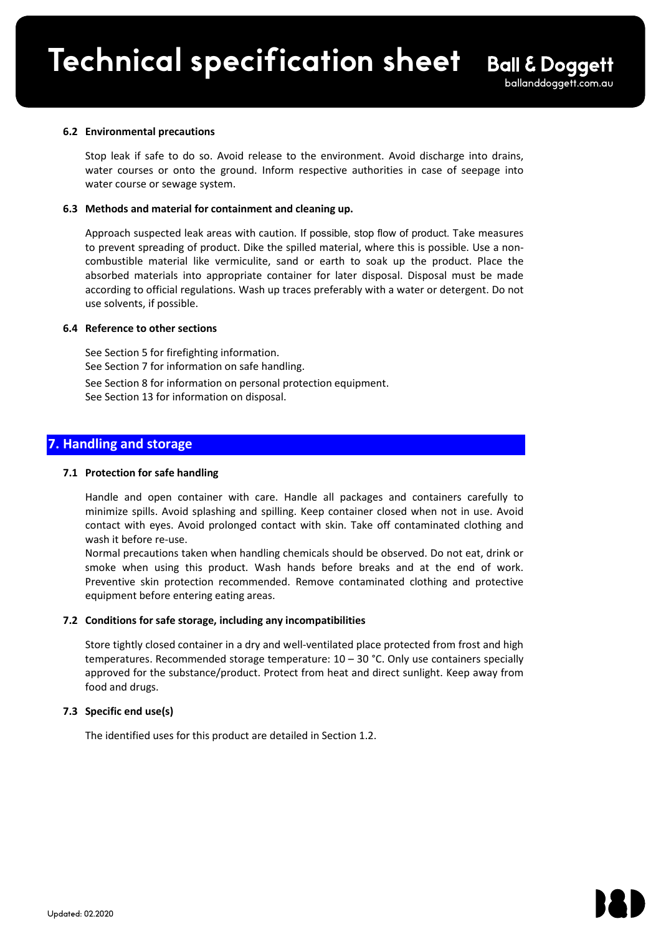#### **6.2 Environmental precautions**

Stop leak if safe to do so. Avoid release to the environment. Avoid discharge into drains, water courses or onto the ground. Inform respective authorities in case of seepage into water course or sewage system.

 $\mathcal{L}_\mathcal{L} = \mathcal{L}_\mathcal{L} - \mathcal{L}_\mathcal{L}$ 

#### **6.3 Methods and material for containment and cleaning up.**

Approach suspected leak areas with caution. If possible, stop flow of product. Take measures to prevent spreading of product. Dike the spilled material, where this is possible. Use a noncombustible material like vermiculite, sand or earth to soak up the product. Place the absorbed materials into appropriate container for later disposal. Disposal must be made according to official regulations. Wash up traces preferably with a water or detergent. Do not use solvents, if possible.

# **6.4 Reference to other sections**

See Section 5 for firefighting information. See Section 7 for information on safe handling. See Section 8 for information on personal protection equipment. See Section 13 for information on disposal.

# **7. Handling and storage**

#### **7.1 Protection for safe handling**

Handle and open container with care. Handle all packages and containers carefully to minimize spills. Avoid splashing and spilling. Keep container closed when not in use. Avoid contact with eyes. Avoid prolonged contact with skin. Take off contaminated clothing and wash it before re-use.

Normal precautions taken when handling chemicals should be observed. Do not eat, drink or smoke when using this product. Wash hands before breaks and at the end of work. Preventive skin protection recommended. Remove contaminated clothing and protective equipment before entering eating areas.

#### **7.2 Conditions for safe storage, including any incompatibilities**

Store tightly closed container in a dry and well-ventilated place protected from frost and high temperatures. Recommended storage temperature:  $10 - 30$  °C. Only use containers specially approved for the substance/product. Protect from heat and direct sunlight. Keep away from food and drugs.

# **7.3 Specific end use(s)**

The identified uses for this product are detailed in Section 1.2.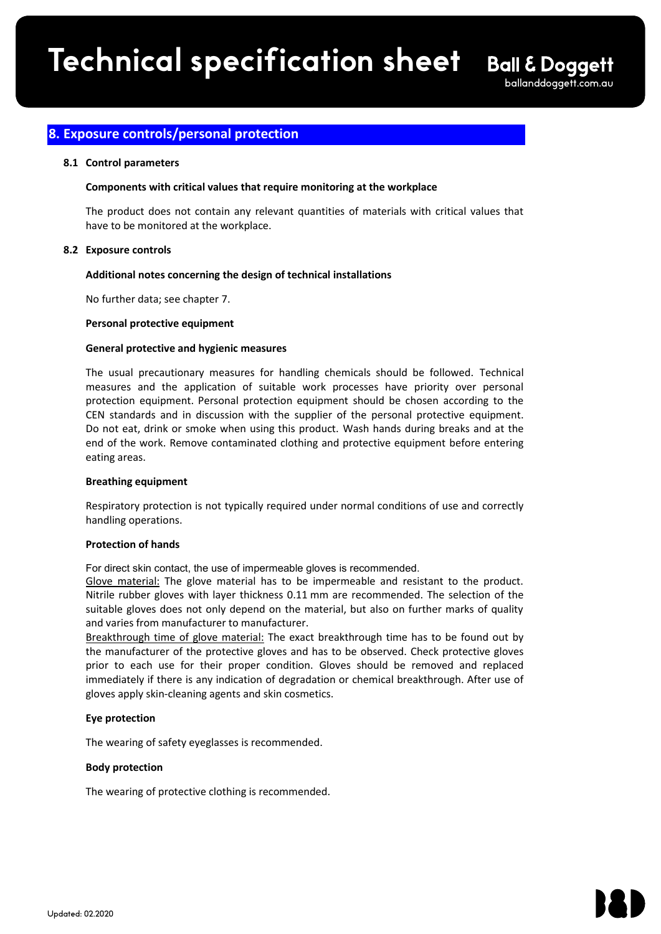$\mathcal{L}_\mathcal{L} = \mathcal{L}_\mathcal{L} - \mathcal{L}_\mathcal{L}$ 

# **8. Exposure controls/personal protection**

# **8.1 Control parameters**

# **Components with critical values that require monitoring at the workplace**

The product does not contain any relevant quantities of materials with critical values that have to be monitored at the workplace.

# **8.2 Exposure controls**

# **Additional notes concerning the design of technical installations**

No further data; see chapter 7.

# **Personal protective equipment**

# **General protective and hygienic measures**

The usual precautionary measures for handling chemicals should be followed. Technical measures and the application of suitable work processes have priority over personal protection equipment. Personal protection equipment should be chosen according to the CEN standards and in discussion with the supplier of the personal protective equipment. Do not eat, drink or smoke when using this product. Wash hands during breaks and at the end of the work. Remove contaminated clothing and protective equipment before entering eating areas.

# **Breathing equipment**

Respiratory protection is not typically required under normal conditions of use and correctly handling operations.

# **Protection of hands**

For direct skin contact, the use of impermeable gloves is recommended.

Glove material: The glove material has to be impermeable and resistant to the product. Nitrile rubber gloves with layer thickness 0.11 mm are recommended. The selection of the suitable gloves does not only depend on the material, but also on further marks of quality and varies from manufacturer to manufacturer.

Breakthrough time of glove material: The exact breakthrough time has to be found out by the manufacturer of the protective gloves and has to be observed. Check protective gloves prior to each use for their proper condition. Gloves should be removed and replaced immediately if there is any indication of degradation or chemical breakthrough. After use of gloves apply skin-cleaning agents and skin cosmetics.

# **Eye protection**

The wearing of safety eyeglasses is recommended.

# **Body protection**

The wearing of protective clothing is recommended.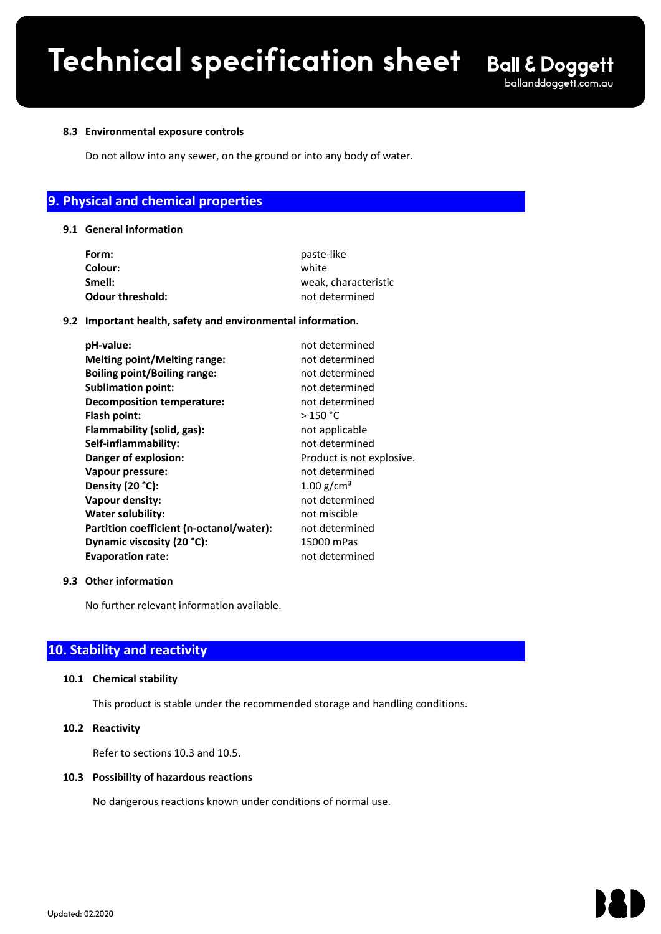$\mathcal{L}_\mathcal{L} = \mathcal{L}_\mathcal{L} - \mathcal{L}_\mathcal{L}$ 

#### **8.3 Environmental exposure controls**

Do not allow into any sewer, on the ground or into any body of water.

# **9. Physical and chemical properties**

#### **9.1 General information**

| paste-like           |  |
|----------------------|--|
| white                |  |
| weak, characteristic |  |
| not determined       |  |
|                      |  |

# **9.2 Important health, safety and environmental information.**

| pH-value:                                | not determined            |
|------------------------------------------|---------------------------|
| <b>Melting point/Melting range:</b>      | not determined            |
| <b>Boiling point/Boiling range:</b>      | not determined            |
| <b>Sublimation point:</b>                | not determined            |
| <b>Decomposition temperature:</b>        | not determined            |
| Flash point:                             | >150 °C                   |
| Flammability (solid, gas):               | not applicable            |
| Self-inflammability:                     | not determined            |
| Danger of explosion:                     | Product is not explosive. |
| Vapour pressure:                         | not determined            |
| Density (20 °C):                         | $1.00$ g/cm <sup>3</sup>  |
| Vapour density:                          | not determined            |
| <b>Water solubility:</b>                 | not miscible              |
| Partition coefficient (n-octanol/water): | not determined            |
| Dynamic viscosity (20 °C):               | 15000 mPas                |
| <b>Evaporation rate:</b>                 | not determined            |
|                                          |                           |

# **9.3 Other information**

No further relevant information available.

# **10. Stability and reactivity**

#### **10.1 Chemical stability**

This product is stable under the recommended storage and handling conditions.

#### **10.2 Reactivity**

Refer to sections 10.3 and 10.5.

# **10.3 Possibility of hazardous reactions**

No dangerous reactions known under conditions of normal use.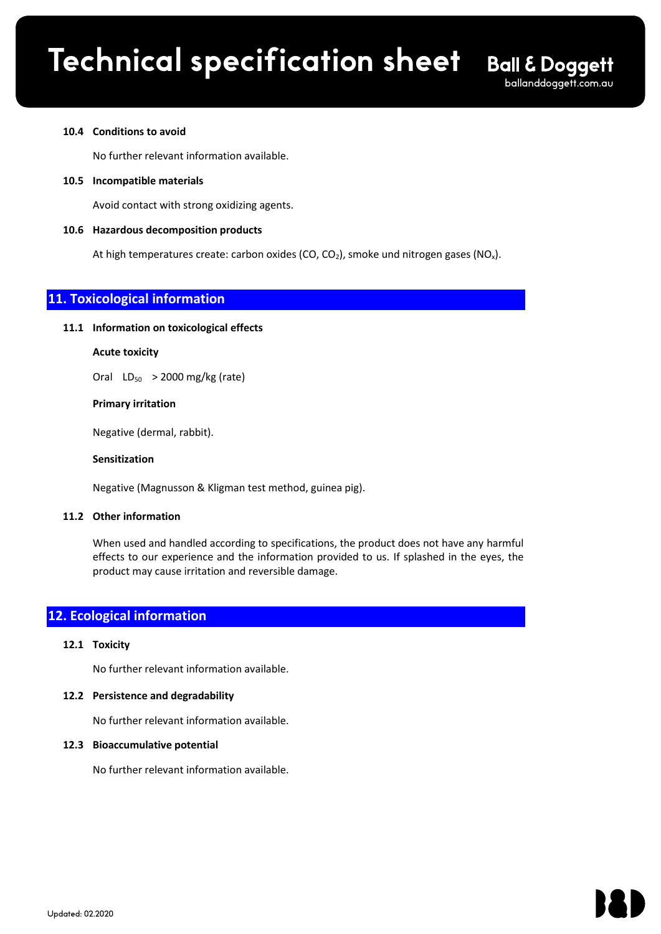$\mathcal{L}_\mathcal{L} = \mathcal{L}_\mathcal{L} - \mathcal{L}_\mathcal{L}$ 

#### **10.4 Conditions to avoid**

No further relevant information available.

**10.5 Incompatible materials** 

Avoid contact with strong oxidizing agents.

# **10.6 Hazardous decomposition products**

At high temperatures create: carbon oxides (CO, CO<sub>2</sub>), smoke und nitrogen gases (NO<sub>x</sub>).

# **11. Toxicological information**

#### **11.1 Information on toxicological effects**

# **Acute toxicity**

Oral  $LD_{50}$  > 2000 mg/kg (rate)

#### **Primary irritation**

Negative (dermal, rabbit).

#### **Sensitization**

Negative (Magnusson & Kligman test method, guinea pig).

#### **11.2 Other information**

When used and handled according to specifications, the product does not have any harmful effects to our experience and the information provided to us. If splashed in the eyes, the product may cause irritation and reversible damage.

# **12. Ecological information**

#### **12.1 Toxicity**

No further relevant information available.

# **12.2 Persistence and degradability**

No further relevant information available.

# **12.3 Bioaccumulative potential**

No further relevant information available.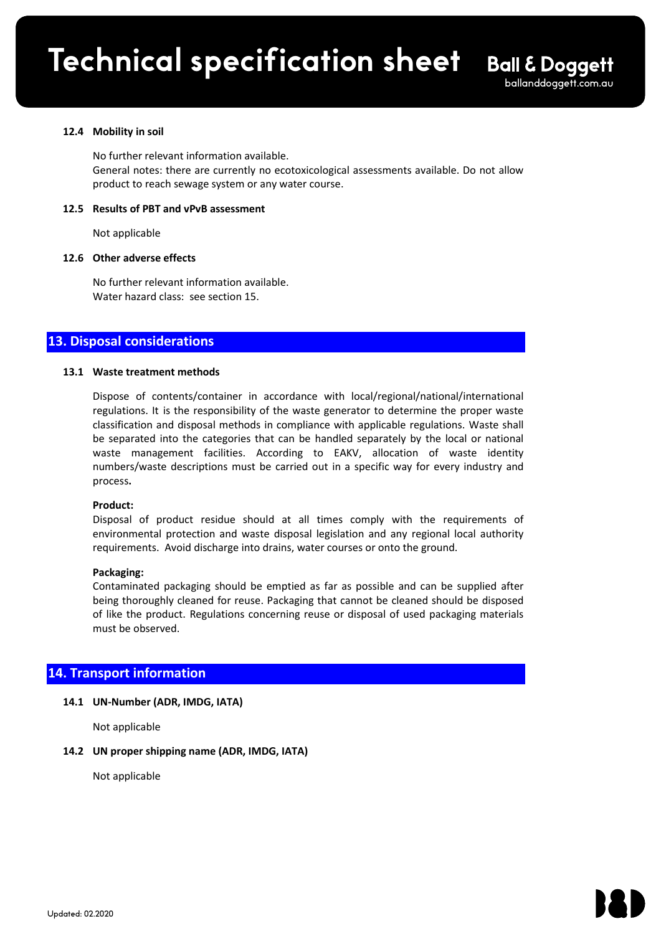# **12.4 Mobility in soil**

No further relevant information available. General notes: there are currently no ecotoxicological assessments available. Do not allow product to reach sewage system or any water course.

 $\mathcal{L}_\mathcal{L} = \mathcal{L}_\mathcal{L} - \mathcal{L}_\mathcal{L}$ 

#### **12.5 Results of PBT and vPvB assessment**

Not applicable

#### **12.6 Other adverse effects**

No further relevant information available. Water hazard class: see section 15.

# **13. Disposal considerations**

#### **13.1 Waste treatment methods**

Dispose of contents/container in accordance with local/regional/national/international regulations. It is the responsibility of the waste generator to determine the proper waste classification and disposal methods in compliance with applicable regulations. Waste shall be separated into the categories that can be handled separately by the local or national waste management facilities. According to EAKV, allocation of waste identity numbers/waste descriptions must be carried out in a specific way for every industry and process**.**

#### **Product:**

Disposal of product residue should at all times comply with the requirements of environmental protection and waste disposal legislation and any regional local authority requirements. Avoid discharge into drains, water courses or onto the ground.

#### **Packaging:**

Contaminated packaging should be emptied as far as possible and can be supplied after being thoroughly cleaned for reuse. Packaging that cannot be cleaned should be disposed of like the product. Regulations concerning reuse or disposal of used packaging materials must be observed.

# **14. Transport information**

# **14.1 UN-Number (ADR, IMDG, IATA)**

Not applicable

# **14.2 UN proper shipping name (ADR, IMDG, IATA)**

Not applicable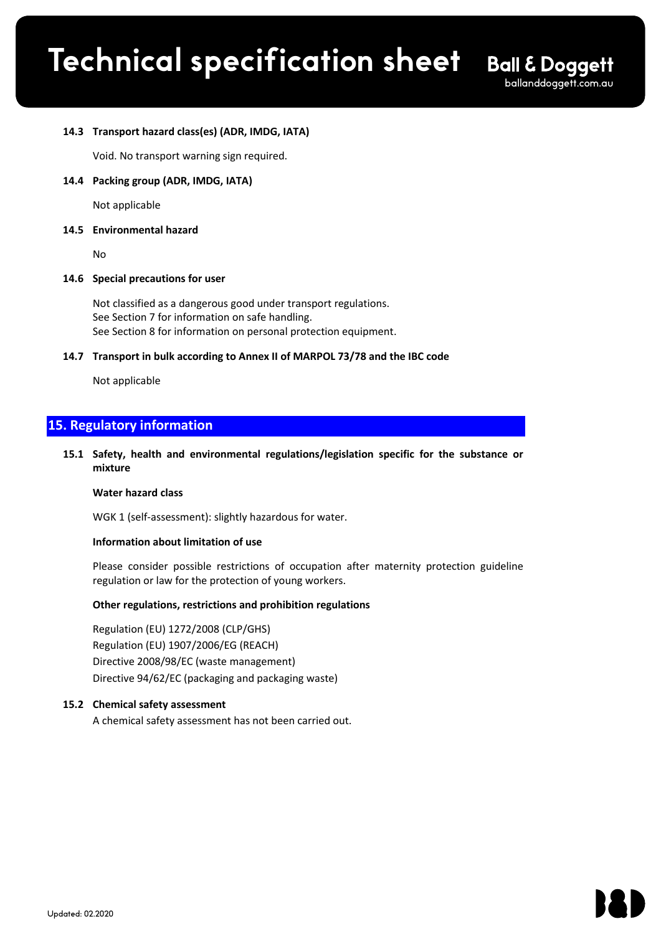$\mathcal{L}_\mathcal{L} = \mathcal{L}_\mathcal{L} - \mathcal{L}_\mathcal{L}$ 

# **14.3 Transport hazard class(es) (ADR, IMDG, IATA)**

Void. No transport warning sign required.

#### **14.4 Packing group (ADR, IMDG, IATA)**

Not applicable

#### **14.5 Environmental hazard**

No

#### **14.6 Special precautions for user**

Not classified as a dangerous good under transport regulations. See Section 7 for information on safe handling. See Section 8 for information on personal protection equipment.

#### **14.7 Transport in bulk according to Annex II of MARPOL 73/78 and the IBC code**

Not applicable

# **15. Regulatory information**

**15.1 Safety, health and environmental regulations/legislation specific for the substance or mixture** 

#### **Water hazard class**

WGK 1 (self-assessment): slightly hazardous for water.

# **Information about limitation of use**

Please consider possible restrictions of occupation after maternity protection guideline regulation or law for the protection of young workers.

# **Other regulations, restrictions and prohibition regulations**

Regulation (EU) 1272/2008 (CLP/GHS) Regulation (EU) 1907/2006/EG (REACH) Directive 2008/98/EC (waste management) Directive 94/62/EC (packaging and packaging waste)

# **15.2 Chemical safety assessment**

A chemical safety assessment has not been carried out.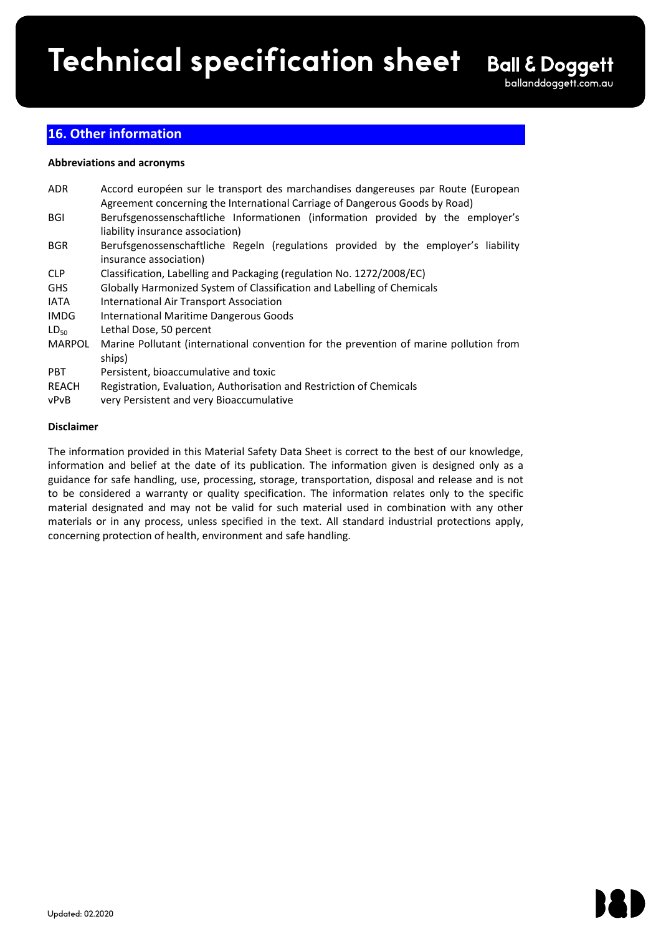$\mathcal{L}_\mathcal{L} = \mathcal{L}_\mathcal{L} - \mathcal{L}_\mathcal{L}$ 

# **16. Other information**

# **Abbreviations and acronyms**

| <b>ADR</b>    | Accord européen sur le transport des marchandises dangereuses par Route (European      |  |  |
|---------------|----------------------------------------------------------------------------------------|--|--|
|               | Agreement concerning the International Carriage of Dangerous Goods by Road)            |  |  |
| <b>BGI</b>    | Berufsgenossenschaftliche Informationen (information provided by the employer's        |  |  |
|               | liability insurance association)                                                       |  |  |
| <b>BGR</b>    | Berufsgenossenschaftliche Regeln (regulations provided by the employer's liability     |  |  |
|               | insurance association)                                                                 |  |  |
| <b>CLP</b>    | Classification, Labelling and Packaging (regulation No. 1272/2008/EC)                  |  |  |
| <b>GHS</b>    | Globally Harmonized System of Classification and Labelling of Chemicals                |  |  |
| IATA          | <b>International Air Transport Association</b>                                         |  |  |
| <b>IMDG</b>   | <b>International Maritime Dangerous Goods</b>                                          |  |  |
| $LD_{50}$     | Lethal Dose, 50 percent                                                                |  |  |
| <b>MARPOL</b> | Marine Pollutant (international convention for the prevention of marine pollution from |  |  |
|               | ships)                                                                                 |  |  |
| <b>PBT</b>    | Persistent, bioaccumulative and toxic                                                  |  |  |
| REACH         | Registration, Evaluation, Authorisation and Restriction of Chemicals                   |  |  |
|               |                                                                                        |  |  |

vPvB very Persistent and very Bioaccumulative

# **Disclaimer**

The information provided in this Material Safety Data Sheet is correct to the best of our knowledge, information and belief at the date of its publication. The information given is designed only as a guidance for safe handling, use, processing, storage, transportation, disposal and release and is not to be considered a warranty or quality specification. The information relates only to the specific material designated and may not be valid for such material used in combination with any other materials or in any process, unless specified in the text. All standard industrial protections apply, concerning protection of health, environment and safe handling.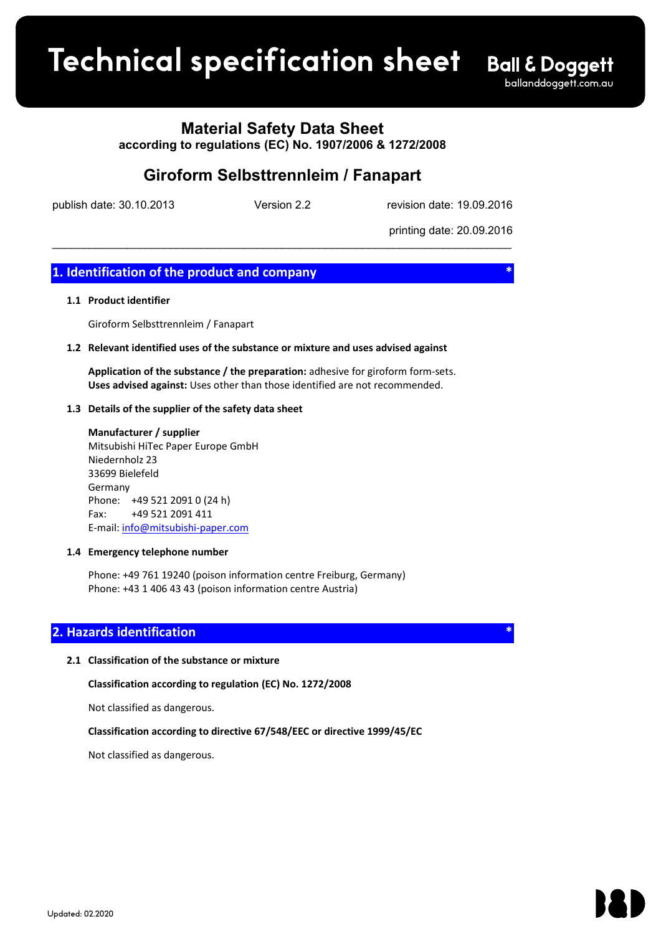# **Product spec sheet Technical specification sheet**

# **Material Safety Data Sheet**

**according to regulations (EC) No. 1907/2006 & 1272/2008**

# **Giroform Selbsttrennleim / Fanapart**

\_\_\_\_\_\_\_\_\_\_\_\_\_\_\_\_\_\_\_\_\_\_\_\_\_\_\_\_\_\_\_\_\_\_\_\_\_\_\_\_\_\_\_\_\_\_\_\_\_\_\_\_\_\_\_\_\_\_\_\_\_\_\_\_\_\_\_\_\_\_\_\_\_\_

publish date: 30.10.2013 Version 2.2 revision date: 19.09.2016

printing date: 20.09.2016

# **1.** Identification of the product and company

# **1.1 Product identifier**

Giroform Selbsttrennleim / Fanapart

#### **1.2 Relevant identified uses of the substance or mixture and uses advised against**

**Application of the substance / the preparation:** adhesive for giroform form-sets. **Uses advised against:** Uses other than those identified are not recommended.

#### **1.3 Details of the supplier of the safety data sheet**

**Manufacturer / supplier** Mitsubishi HiTec Paper Europe GmbH Niedernholz 23 33699 Bielefeld Germany Phone: +49 521 2091 0 (24 h) Fax: +49 521 2091 411 E-mail: info@mitsubishi-paper.com

# **1.4 Emergency telephone number**

Phone: +49 761 19240 (poison information centre Freiburg, Germany) Phone: +43 1 406 43 43 (poison information centre Austria)

# **Hazards identification**

# **2.1 Classification of the substance or mixture**

**Classification according to regulation (EC) No. 1272/2008**

Not classified as dangerous.

**Classification according to directive 67/548/EEC or directive 1999/45/EC**

Not classified as dangerous.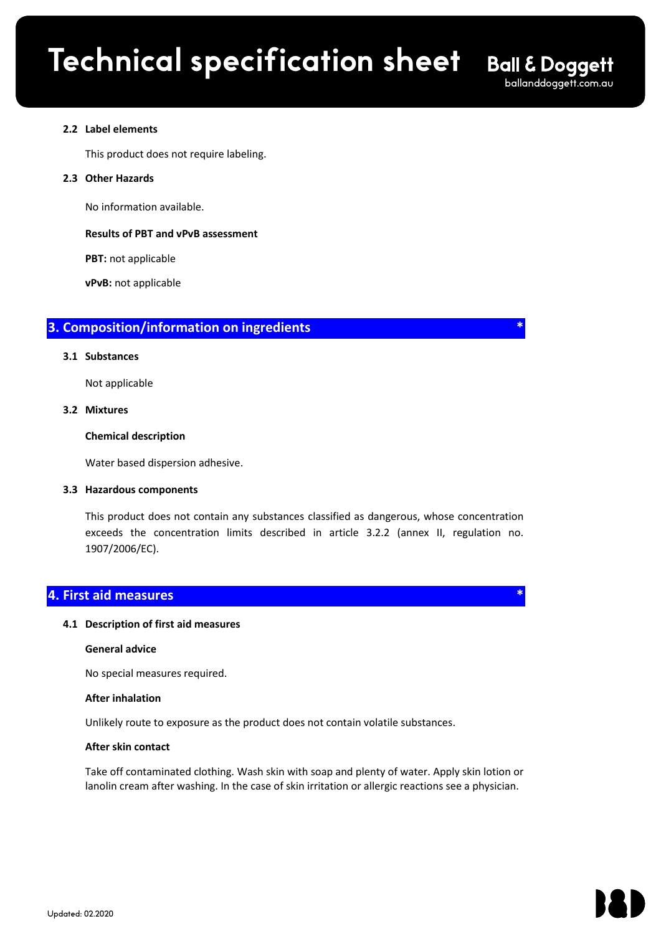$\mathcal{L}_\mathcal{L} = \mathcal{L}_\mathcal{L} - \mathcal{L}_\mathcal{L}$ 

# **2.2 Label elements**

This product does not require labeling.

# **2.3 Other Hazards**

No information available.

# **Results of PBT and vPvB assessment**

**PBT:** not applicable

**vPvB:** not applicable

# **3. Composition/information on ingredients \***

# **3.1 Substances**

Not applicable

# **3.2 Mixtures**

# **Chemical description**

Water based dispersion adhesive.

# **3.3 Hazardous components**

This product does not contain any substances classified as dangerous, whose concentration exceeds the concentration limits described in article 3.2.2 (annex II, regulation no. 1907/2006/EC).

# **4. First aid measures \***

# **4.1 Description of first aid measures**

# **General advice**

No special measures required.

# **After inhalation**

Unlikely route to exposure as the product does not contain volatile substances.

# **After skin contact**

Take off contaminated clothing. Wash skin with soap and plenty of water. Apply skin lotion or lanolin cream after washing. In the case of skin irritation or allergic reactions see a physician.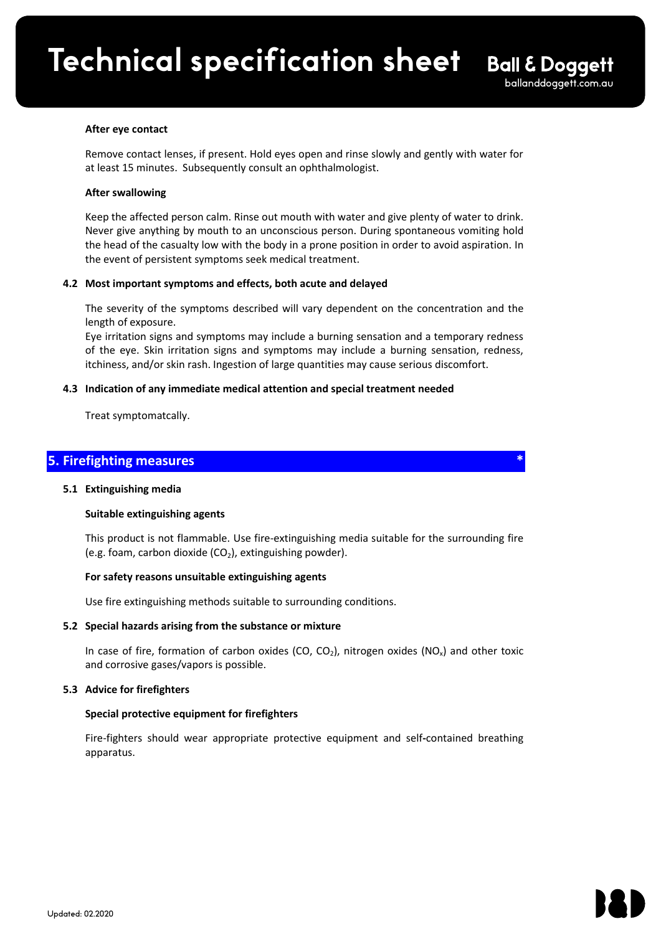# **After eye contact**

Remove contact lenses, if present. Hold eyes open and rinse slowly and gently with water for at least 15 minutes. Subsequently consult an ophthalmologist.

 $\mathcal{L}_\mathcal{L} = \mathcal{L}_\mathcal{L} - \mathcal{L}_\mathcal{L}$ 

#### **After swallowing**

Keep the affected person calm. Rinse out mouth with water and give plenty of water to drink. Never give anything by mouth to an unconscious person. During spontaneous vomiting hold the head of the casualty low with the body in a prone position in order to avoid aspiration. In the event of persistent symptoms seek medical treatment.

# **4.2 Most important symptoms and effects, both acute and delayed**

The severity of the symptoms described will vary dependent on the concentration and the length of exposure.

Eye irritation signs and symptoms may include a burning sensation and a temporary redness of the eye. Skin irritation signs and symptoms may include a burning sensation, redness, itchiness, and/or skin rash. Ingestion of large quantities may cause serious discomfort.

#### **4.3 Indication of any immediate medical attention and special treatment needed**

Treat symptomatcally.

# **5. Firefighting measures \***

#### **5.1 Extinguishing media**

# **Suitable extinguishing agents**

This product is not flammable. Use fire-extinguishing media suitable for the surrounding fire (e.g. foam, carbon dioxide  $(CO<sub>2</sub>)$ , extinguishing powder).

#### **For safety reasons unsuitable extinguishing agents**

Use fire extinguishing methods suitable to surrounding conditions.

# **5.2 Special hazards arising from the substance or mixture**

In case of fire, formation of carbon oxides (CO, CO<sub>2</sub>), nitrogen oxides (NO<sub>x</sub>) and other toxic and corrosive gases/vapors is possible.

# **5.3 Advice for firefighters**

# **Special protective equipment for firefighters**

Fire-fighters should wear appropriate protective equipment and self**-**contained breathing apparatus.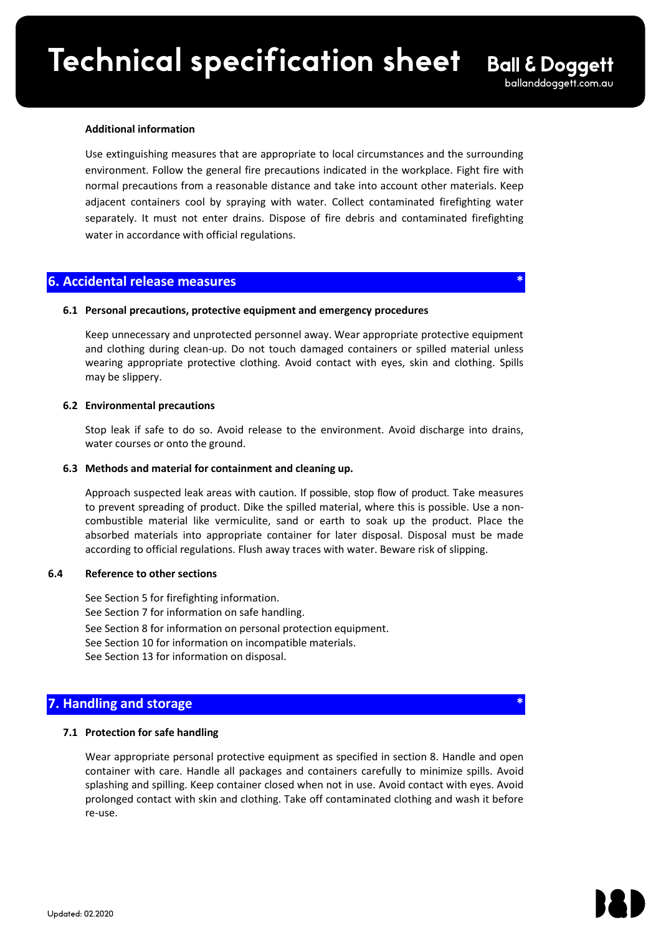$\mathcal{L}_\mathcal{L} = \mathcal{L}_\mathcal{L} - \mathcal{L}_\mathcal{L}$ 

#### **Additional information**

Use extinguishing measures that are appropriate to local circumstances and the surrounding environment. Follow the general fire precautions indicated in the workplace. Fight fire with normal precautions from a reasonable distance and take into account other materials. Keep adjacent containers cool by spraying with water. Collect contaminated firefighting water separately. It must not enter drains. Dispose of fire debris and contaminated firefighting water in accordance with official regulations.

# **6. Accidental release measures \***

# **6.1 Personal precautions, protective equipment and emergency procedures**

Keep unnecessary and unprotected personnel away. Wear appropriate protective equipment and clothing during clean-up. Do not touch damaged containers or spilled material unless wearing appropriate protective clothing. Avoid contact with eyes, skin and clothing. Spills may be slippery.

# **6.2 Environmental precautions**

Stop leak if safe to do so. Avoid release to the environment. Avoid discharge into drains, water courses or onto the ground.

# **6.3 Methods and material for containment and cleaning up.**

Approach suspected leak areas with caution. If possible, stop flow of product. Take measures to prevent spreading of product. Dike the spilled material, where this is possible. Use a noncombustible material like vermiculite, sand or earth to soak up the product. Place the absorbed materials into appropriate container for later disposal. Disposal must be made according to official regulations. Flush away traces with water. Beware risk of slipping.

# **6.4 Reference to other sections**

See Section 5 for firefighting information. See Section 7 for information on safe handling. See Section 8 for information on personal protection equipment. See Section 10 for information on incompatible materials. See Section 13 for information on disposal.

# **7. Handling and storage**

# **7.1 Protection for safe handling**

Wear appropriate personal protective equipment as specified in section 8. Handle and open container with care. Handle all packages and containers carefully to minimize spills. Avoid splashing and spilling. Keep container closed when not in use. Avoid contact with eyes. Avoid prolonged contact with skin and clothing. Take off contaminated clothing and wash it before re-use.

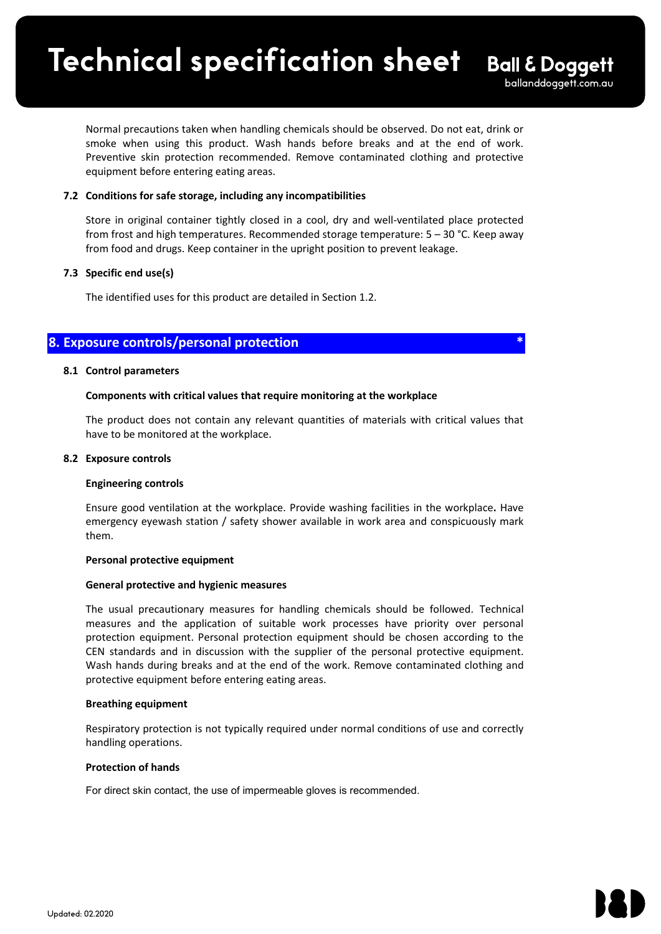Normal precautions taken when handling chemicals should be observed. Do not eat, drink or smoke when using this product. Wash hands before breaks and at the end of work. Preventive skin protection recommended. Remove contaminated clothing and protective equipment before entering eating areas.

 $\mathcal{L}_\mathcal{L} = \{ \mathcal{L}_\mathcal{L} = \{ \mathcal{L}_\mathcal{L} = \{ \mathcal{L}_\mathcal{L} = \{ \mathcal{L}_\mathcal{L} = \{ \mathcal{L}_\mathcal{L} = \{ \mathcal{L}_\mathcal{L} = \{ \mathcal{L}_\mathcal{L} = \{ \mathcal{L}_\mathcal{L} = \{ \mathcal{L}_\mathcal{L} = \{ \mathcal{L}_\mathcal{L} = \{ \mathcal{L}_\mathcal{L} = \{ \mathcal{L}_\mathcal{L} = \{ \mathcal{L}_\mathcal{L} = \{ \mathcal{L}_\mathcal{$ 

# **7.2 Conditions for safe storage, including any incompatibilities**

Store in original container tightly closed in a cool, dry and well-ventilated place protected from frost and high temperatures. Recommended storage temperature:  $5 - 30$  °C. Keep away from food and drugs. Keep container in the upright position to prevent leakage.

# **7.3 Specific end use(s)**

The identified uses for this product are detailed in Section 1.2.

# **8. Exposure controls/personal protection \***

# **8.1 Control parameters**

# **Components with critical values that require monitoring at the workplace**

The product does not contain any relevant quantities of materials with critical values that have to be monitored at the workplace.

# **8.2 Exposure controls**

# **Engineering controls**

Ensure good ventilation at the workplace. Provide washing facilities in the workplace**.** Have emergency eyewash station / safety shower available in work area and conspicuously mark them.

# **Personal protective equipment**

# **General protective and hygienic measures**

The usual precautionary measures for handling chemicals should be followed. Technical measures and the application of suitable work processes have priority over personal protection equipment. Personal protection equipment should be chosen according to the CEN standards and in discussion with the supplier of the personal protective equipment. Wash hands during breaks and at the end of the work. Remove contaminated clothing and protective equipment before entering eating areas.

# **Breathing equipment**

Respiratory protection is not typically required under normal conditions of use and correctly handling operations.

# **Protection of hands**

For direct skin contact, the use of impermeable gloves is recommended.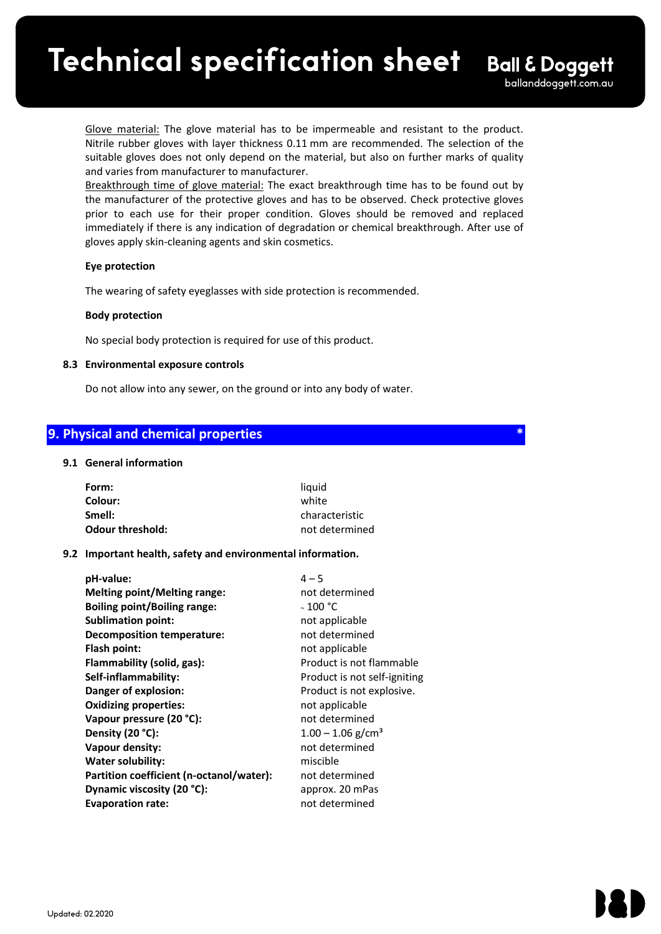Glove material: The glove material has to be impermeable and resistant to the product. Nitrile rubber gloves with layer thickness 0.11 mm are recommended. The selection of the suitable gloves does not only depend on the material, but also on further marks of quality and varies from manufacturer to manufacturer.

 $\mathcal{L}_\mathcal{L} = \mathcal{L}_\mathcal{L} - \mathcal{L}_\mathcal{L}$ 

Breakthrough time of glove material: The exact breakthrough time has to be found out by the manufacturer of the protective gloves and has to be observed. Check protective gloves prior to each use for their proper condition. Gloves should be removed and replaced immediately if there is any indication of degradation or chemical breakthrough. After use of gloves apply skin-cleaning agents and skin cosmetics.

# **Eye protection**

The wearing of safety eyeglasses with side protection is recommended.

# **Body protection**

No special body protection is required for use of this product.

# **8.3 Environmental exposure controls**

Do not allow into any sewer, on the ground or into any body of water.

# **9. Physical and chemical properties \***

# **9.1 General information**

| Form:                   | liauid         |
|-------------------------|----------------|
| Colour:                 | white          |
| Smell:                  | characteristic |
| <b>Odour threshold:</b> | not determined |

# **9.2 Important health, safety and environmental information.**

| pH-value:<br><b>Melting point/Melting range:</b> | $4 - 5$<br>not determined       |
|--------------------------------------------------|---------------------------------|
| <b>Boiling point/Boiling range:</b>              | $~\scriptstyle\sim 100$ °C      |
| <b>Sublimation point:</b>                        | not applicable                  |
| <b>Decomposition temperature:</b>                | not determined                  |
| Flash point:                                     | not applicable                  |
| Flammability (solid, gas):                       | Product is not flammable        |
| Self-inflammability:                             | Product is not self-igniting    |
| Danger of explosion:                             | Product is not explosive.       |
| <b>Oxidizing properties:</b>                     | not applicable                  |
| Vapour pressure (20 °C):                         | not determined                  |
| Density (20 °C):                                 | $1.00 - 1.06$ g/cm <sup>3</sup> |
| Vapour density:                                  | not determined                  |
| <b>Water solubility:</b>                         | miscible                        |
| Partition coefficient (n-octanol/water):         | not determined                  |
| Dynamic viscosity (20 °C):                       | approx. 20 mPas                 |
| <b>Evaporation rate:</b>                         | not determined                  |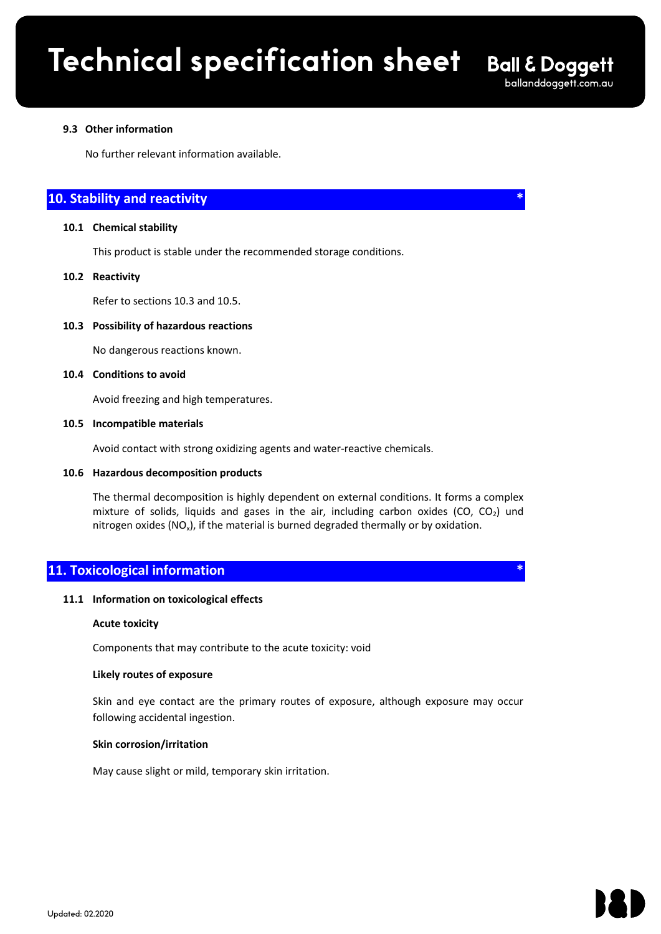$\mathcal{L}_\mathcal{L} = \mathcal{L}_\mathcal{L} - \mathcal{L}_\mathcal{L}$ 

# **9.3 Other information**

No further relevant information available.

# **10. Stability and reactivity**

# **10.1 Chemical stability**

This product is stable under the recommended storage conditions.

#### **10.2 Reactivity**

Refer to sections 10.3 and 10.5.

#### **10.3 Possibility of hazardous reactions**

No dangerous reactions known.

#### **10.4 Conditions to avoid**

Avoid freezing and high temperatures.

#### **10.5 Incompatible materials**

Avoid contact with strong oxidizing agents and water-reactive chemicals.

#### **10.6 Hazardous decomposition products**

The thermal decomposition is highly dependent on external conditions. It forms a complex mixture of solids, liquids and gases in the air, including carbon oxides (CO, CO<sub>2</sub>) und nitrogen oxides  $(NO_x)$ , if the material is burned degraded thermally or by oxidation.

# **11. Toxicological information \***

# **11.1 Information on toxicological effects**

#### **Acute toxicity**

Components that may contribute to the acute toxicity: void

#### **Likely routes of exposure**

Skin and eye contact are the primary routes of exposure, although exposure may occur following accidental ingestion.

#### **Skin corrosion/irritation**

May cause slight or mild, temporary skin irritation.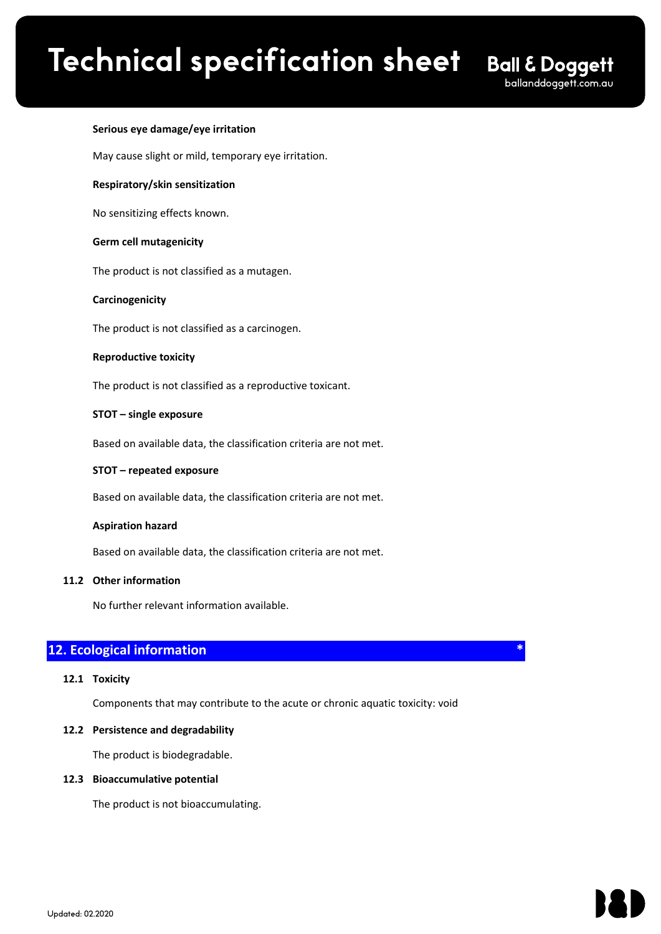$\mathcal{L}_\mathcal{L} = \mathcal{L}_\mathcal{L} - \mathcal{L}_\mathcal{L}$ 

# **Serious eye damage/eye irritation**

May cause slight or mild, temporary eye irritation.

# **Respiratory/skin sensitization**

No sensitizing effects known.

# **Germ cell mutagenicity**

The product is not classified as a mutagen.

# **Carcinogenicity**

The product is not classified as a carcinogen.

# **Reproductive toxicity**

The product is not classified as a reproductive toxicant.

# **STOT – single exposure**

Based on available data, the classification criteria are not met.

# **STOT – repeated exposure**

Based on available data, the classification criteria are not met.

# **Aspiration hazard**

Based on available data, the classification criteria are not met.

# **11.2 Other information**

No further relevant information available.

# **12. Ecological information**

# **12.1 Toxicity**

Components that may contribute to the acute or chronic aquatic toxicity: void

# **12.2 Persistence and degradability**

The product is biodegradable.

# **12.3 Bioaccumulative potential**

The product is not bioaccumulating.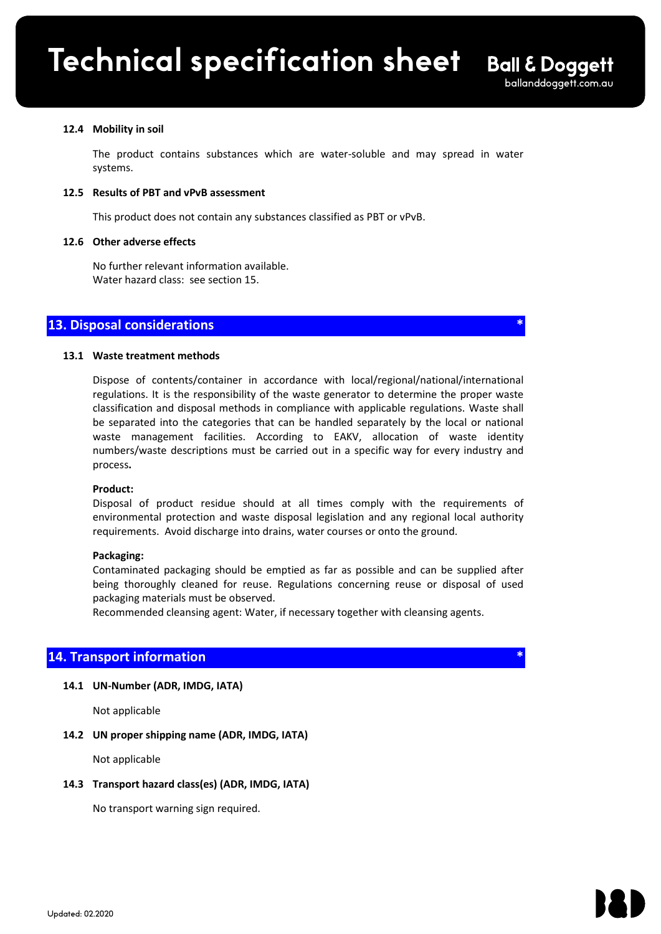#### **12.4 Mobility in soil**

The product contains substances which are water-soluble and may spread in water systems.

 $\mathcal{L}_\mathcal{L} = \mathcal{L}_\mathcal{L} - \mathcal{L}_\mathcal{L}$ 

#### **12.5 Results of PBT and vPvB assessment**

This product does not contain any substances classified as PBT or vPvB.

#### **12.6 Other adverse effects**

No further relevant information available. Water hazard class: see section 15.

# **13. Disposal considerations \***

#### **13.1 Waste treatment methods**

Dispose of contents/container in accordance with local/regional/national/international regulations. It is the responsibility of the waste generator to determine the proper waste classification and disposal methods in compliance with applicable regulations. Waste shall be separated into the categories that can be handled separately by the local or national waste management facilities. According to EAKV, allocation of waste identity numbers/waste descriptions must be carried out in a specific way for every industry and process**.**

#### **Product:**

Disposal of product residue should at all times comply with the requirements of environmental protection and waste disposal legislation and any regional local authority requirements. Avoid discharge into drains, water courses or onto the ground.

#### **Packaging:**

Contaminated packaging should be emptied as far as possible and can be supplied after being thoroughly cleaned for reuse. Regulations concerning reuse or disposal of used packaging materials must be observed.

Recommended cleansing agent: Water, if necessary together with cleansing agents.

# **14. Transport information**

# **14.1 UN-Number (ADR, IMDG, IATA)**

Not applicable

# **14.2 UN proper shipping name (ADR, IMDG, IATA)**

Not applicable

#### **14.3 Transport hazard class(es) (ADR, IMDG, IATA)**

No transport warning sign required.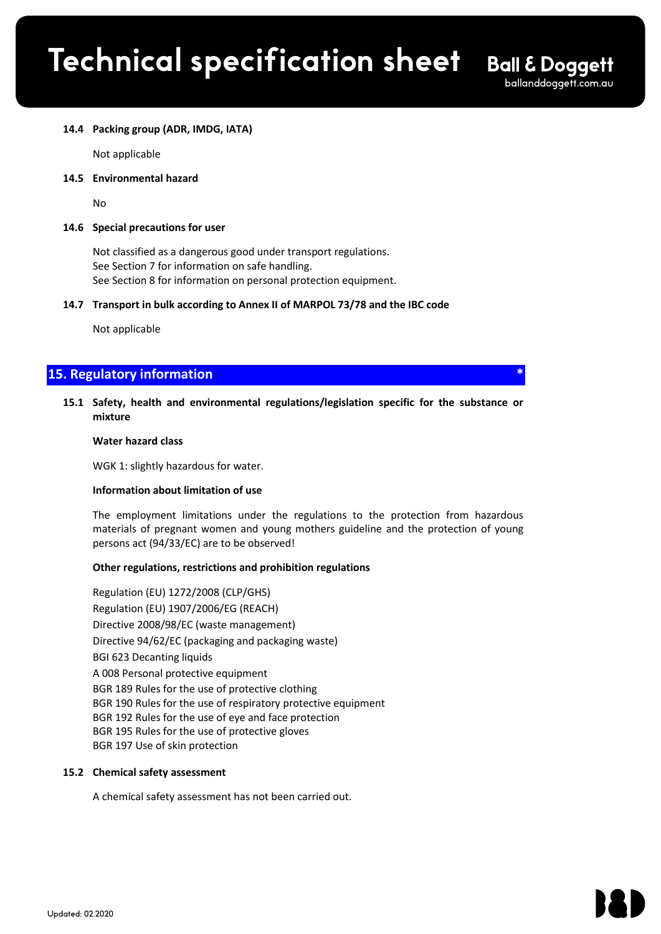$\mathcal{L}_\mathcal{L} = \mathcal{L}_\mathcal{L} - \mathcal{L}_\mathcal{L}$ 

# **14.4 Packing group (ADR, IMDG, IATA)**

Not applicable

**14.5 Environmental hazard** 

No

# **14.6 Special precautions for user**

Not classified as a dangerous good under transport regulations. See Section 7 for information on safe handling. See Section 8 for information on personal protection equipment.

# **14.7 Transport in bulk according to Annex II of MARPOL 73/78 and the IBC code**

Not applicable

# **15. Regulatory information**

# **15.1 Safety, health and environmental regulations/legislation specific for the substance or mixture**

#### **Water hazard class**

WGK 1: slightly hazardous for water.

#### **Information about limitation of use**

The employment limitations under the regulations to the protection from hazardous materials of pregnant women and young mothers guideline and the protection of young persons act (94/33/EC) are to be observed!

# **Other regulations, restrictions and prohibition regulations**

Regulation (EU) 1272/2008 (CLP/GHS) Regulation (EU) 1907/2006/EG (REACH) Directive 2008/98/EC (waste management) Directive 94/62/EC (packaging and packaging waste) BGI 623 Decanting liquids A 008 Personal protective equipment BGR 189 Rules for the use of protective clothing BGR 190 Rules for the use of respiratory protective equipment BGR 192 Rules for the use of eye and face protection BGR 195 Rules for the use of protective gloves BGR 197 Use of skin protection

#### **15.2 Chemical safety assessment**

A chemical safety assessment has not been carried out.